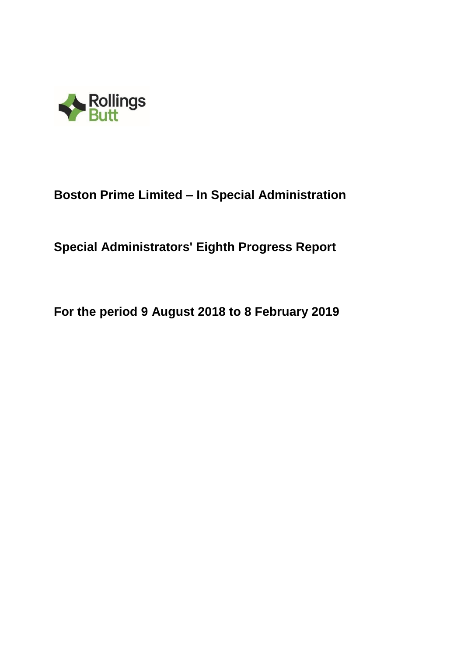

# **Special Administrators' Eighth Progress Report**

**For the period 9 August 2018 to 8 February 2019**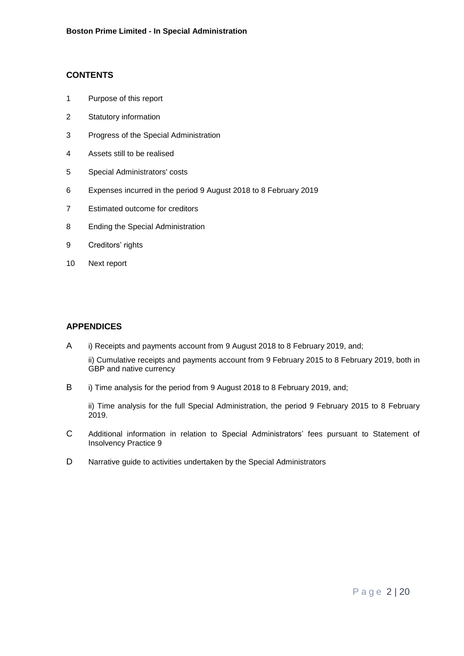# **CONTENTS**

- 1 Purpose of this report
- 2 Statutory information
- 3 Progress of the Special Administration
- 4 Assets still to be realised
- 5 Special Administrators' costs
- 6 Expenses incurred in the period 9 August 2018 to 8 February 2019
- 7 Estimated outcome for creditors
- 8 Ending the Special Administration
- 9 Creditors' rights
- 10 Next report

# **APPENDICES**

- A i) Receipts and payments account from 9 August 2018 to 8 February 2019, and; ii) Cumulative receipts and payments account from 9 February 2015 to 8 February 2019, both in GBP and native currency
- B i) Time analysis for the period from 9 August 2018 to 8 February 2019, and;

ii) Time analysis for the full Special Administration, the period 9 February 2015 to 8 February 2019.

- C Additional information in relation to Special Administrators' fees pursuant to Statement of Insolvency Practice 9
- D Narrative guide to activities undertaken by the Special Administrators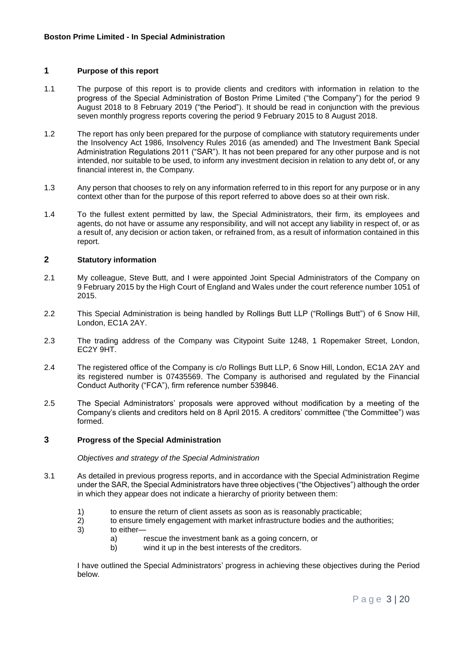### **1 Purpose of this report**

- 1.1 The purpose of this report is to provide clients and creditors with information in relation to the progress of the Special Administration of Boston Prime Limited ("the Company") for the period 9 August 2018 to 8 February 2019 ("the Period"). It should be read in conjunction with the previous seven monthly progress reports covering the period 9 February 2015 to 8 August 2018.
- 1.2 The report has only been prepared for the purpose of compliance with statutory requirements under the Insolvency Act 1986, Insolvency Rules 2016 (as amended) and The Investment Bank Special Administration Regulations 2011 ("SAR"). It has not been prepared for any other purpose and is not intended, nor suitable to be used, to inform any investment decision in relation to any debt of, or any financial interest in, the Company.
- 1.3 Any person that chooses to rely on any information referred to in this report for any purpose or in any context other than for the purpose of this report referred to above does so at their own risk.
- 1.4 To the fullest extent permitted by law, the Special Administrators, their firm, its employees and agents, do not have or assume any responsibility, and will not accept any liability in respect of, or as a result of, any decision or action taken, or refrained from, as a result of information contained in this report.

## **2 Statutory information**

- 2.1 My colleague, Steve Butt, and I were appointed Joint Special Administrators of the Company on 9 February 2015 by the High Court of England and Wales under the court reference number 1051 of 2015.
- 2.2 This Special Administration is being handled by Rollings Butt LLP ("Rollings Butt") of 6 Snow Hill, London, EC1A 2AY.
- 2.3 The trading address of the Company was Citypoint Suite 1248, 1 Ropemaker Street, London, EC2Y 9HT.
- 2.4 The registered office of the Company is c/o Rollings Butt LLP, 6 Snow Hill, London, EC1A 2AY and its registered number is 07435569. The Company is authorised and regulated by the Financial Conduct Authority ("FCA"), firm reference number 539846.
- 2.5 The Special Administrators' proposals were approved without modification by a meeting of the Company's clients and creditors held on 8 April 2015. A creditors' committee ("the Committee") was formed.

#### **3 Progress of the Special Administration**

*Objectives and strategy of the Special Administration*

- 3.1 As detailed in previous progress reports, and in accordance with the Special Administration Regime under the SAR, the Special Administrators have three objectives ("the Objectives") although the order in which they appear does not indicate a hierarchy of priority between them:
	- 1) to ensure the return of client assets as soon as is reasonably practicable;
	- 2) to ensure timely engagement with market infrastructure bodies and the authorities;
	- 3) to either
		- a) rescue the investment bank as a going concern, or
		- b) wind it up in the best interests of the creditors.

I have outlined the Special Administrators' progress in achieving these objectives during the Period below.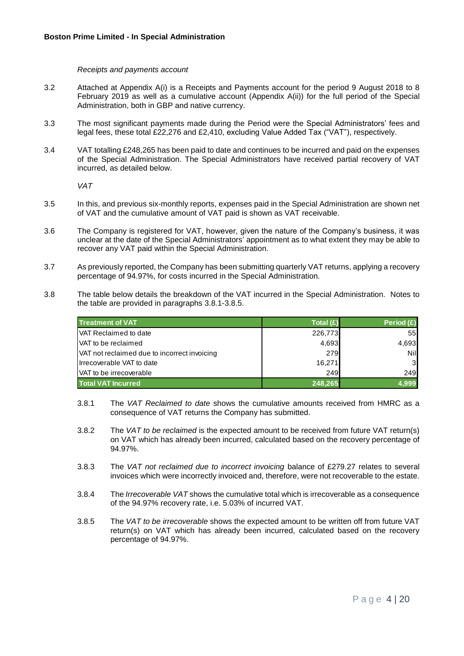#### *Receipts and payments account*

- 3.2 Attached at Appendix A(i) is a Receipts and Payments account for the period 9 August 2018 to 8 February 2019 as well as a cumulative account (Appendix A(ii)) for the full period of the Special Administration, both in GBP and native currency.
- 3.3 The most significant payments made during the Period were the Special Administrators' fees and legal fees, these total £22,276 and £2,410, excluding Value Added Tax ("VAT"), respectively.
- 3.4 VAT totalling £248,265 has been paid to date and continues to be incurred and paid on the expenses of the Special Administration. The Special Administrators have received partial recovery of VAT incurred, as detailed below.

*VAT* 

- 3.5 In this, and previous six-monthly reports, expenses paid in the Special Administration are shown net of VAT and the cumulative amount of VAT paid is shown as VAT receivable.
- 3.6 The Company is registered for VAT, however, given the nature of the Company's business, it was unclear at the date of the Special Administrators' appointment as to what extent they may be able to recover any VAT paid within the Special Administration.
- 3.7 As previously reported, the Company has been submitting quarterly VAT returns, applying a recovery percentage of 94.97%, for costs incurred in the Special Administration.
- 3.8 The table below details the breakdown of the VAT incurred in the Special Administration. Notes to the table are provided in paragraphs 3.8.1-3.8.5.

| <b>Treatment of VAT</b>                      | Total $(E)$ | Period $(E)$ |
|----------------------------------------------|-------------|--------------|
| <b>VAT Reclaimed to date</b>                 | 226,773     | 55           |
| VAT to be reclaimed                          | 4,693       | 4,693        |
| VAT not reclaimed due to incorrect invoicing | 279         | Nil          |
| Irrecoverable VAT to date                    | 16,271      | 31           |
| VAT to be irrecoverable                      | 249         | 249          |
| <b>Total VAT Incurred</b>                    | 248,265     |              |

- 3.8.1 The *VAT Reclaimed to date* shows the cumulative amounts received from HMRC as a consequence of VAT returns the Company has submitted.
- 3.8.2 The *VAT to be reclaimed* is the expected amount to be received from future VAT return(s) on VAT which has already been incurred, calculated based on the recovery percentage of 94.97%.
- 3.8.3 The *VAT not reclaimed due to incorrect invoicing* balance of £279.27 relates to several invoices which were incorrectly invoiced and, therefore, were not recoverable to the estate.
- 3.8.4 The *Irrecoverable VAT* shows the cumulative total which is irrecoverable as a consequence of the 94.97% recovery rate, i.e. 5.03% of incurred VAT.
- 3.8.5 The *VAT to be irrecoverable* shows the expected amount to be written off from future VAT return(s) on VAT which has already been incurred, calculated based on the recovery percentage of 94.97%.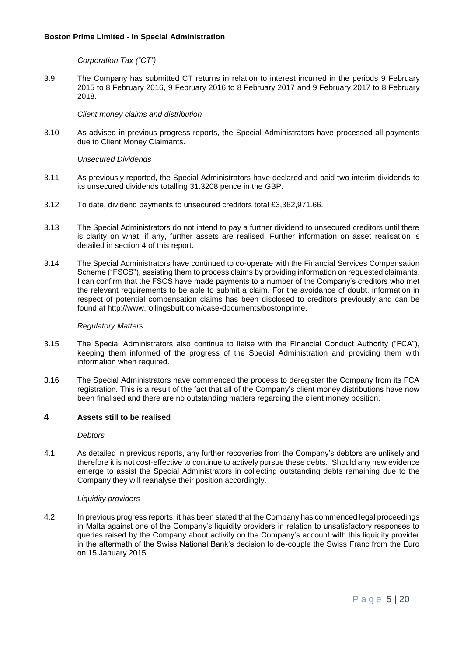*Corporation Tax ("CT")*

3.9 The Company has submitted CT returns in relation to interest incurred in the periods 9 February 2015 to 8 February 2016, 9 February 2016 to 8 February 2017 and 9 February 2017 to 8 February 2018.

*Client money claims and distribution*

3.10 As advised in previous progress reports, the Special Administrators have processed all payments due to Client Money Claimants.

*Unsecured Dividends*

- 3.11 As previously reported, the Special Administrators have declared and paid two interim dividends to its unsecured dividends totalling 31.3208 pence in the GBP.
- 3.12 To date, dividend payments to unsecured creditors total £3,362,971.66.
- 3.13 The Special Administrators do not intend to pay a further dividend to unsecured creditors until there is clarity on what, if any, further assets are realised. Further information on asset realisation is detailed in section 4 of this report.
- 3.14 The Special Administrators have continued to co-operate with the Financial Services Compensation Scheme ("FSCS"), assisting them to process claims by providing information on requested claimants. I can confirm that the FSCS have made payments to a number of the Company's creditors who met the relevant requirements to be able to submit a claim. For the avoidance of doubt, information in respect of potential compensation claims has been disclosed to creditors previously and can be found at [http://www.rollingsbutt.com/case-documents/bostonprime.](http://www.rollingsbutt.com/case-documents/bostonprime)

#### *Regulatory Matters*

- 3.15 The Special Administrators also continue to liaise with the Financial Conduct Authority ("FCA"), keeping them informed of the progress of the Special Administration and providing them with information when required.
- 3.16 The Special Administrators have commenced the process to deregister the Company from its FCA registration. This is a result of the fact that all of the Company's client money distributions have now been finalised and there are no outstanding matters regarding the client money position.

### **4 Assets still to be realised**

*Debtors*

4.1 As detailed in previous reports, any further recoveries from the Company's debtors are unlikely and therefore it is not cost-effective to continue to actively pursue these debts. Should any new evidence emerge to assist the Special Administrators in collecting outstanding debts remaining due to the Company they will reanalyse their position accordingly.

#### *Liquidity providers*

4.2 In previous progress reports, it has been stated that the Company has commenced legal proceedings in Malta against one of the Company's liquidity providers in relation to unsatisfactory responses to queries raised by the Company about activity on the Company's account with this liquidity provider in the aftermath of the Swiss National Bank's decision to de-couple the Swiss Franc from the Euro on 15 January 2015.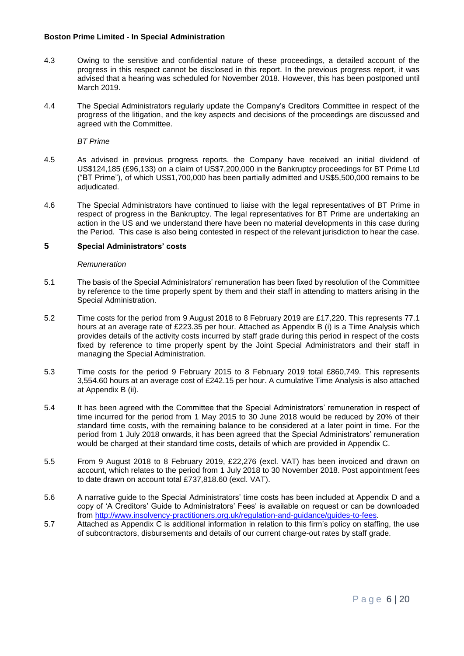- 4.3 Owing to the sensitive and confidential nature of these proceedings, a detailed account of the progress in this respect cannot be disclosed in this report. In the previous progress report, it was advised that a hearing was scheduled for November 2018. However, this has been postponed until March 2019.
- 4.4 The Special Administrators regularly update the Company's Creditors Committee in respect of the progress of the litigation, and the key aspects and decisions of the proceedings are discussed and agreed with the Committee.

*BT Prime*

- 4.5 As advised in previous progress reports, the Company have received an initial dividend of US\$124,185 (£96,133) on a claim of US\$7,200,000 in the Bankruptcy proceedings for BT Prime Ltd ("BT Prime"), of which US\$1,700,000 has been partially admitted and US\$5,500,000 remains to be adjudicated.
- 4.6 The Special Administrators have continued to liaise with the legal representatives of BT Prime in respect of progress in the Bankruptcy. The legal representatives for BT Prime are undertaking an action in the US and we understand there have been no material developments in this case during the Period. This case is also being contested in respect of the relevant jurisdiction to hear the case.

### **5 Special Administrators' costs**

#### *Remuneration*

- 5.1 The basis of the Special Administrators' remuneration has been fixed by resolution of the Committee by reference to the time properly spent by them and their staff in attending to matters arising in the Special Administration.
- 5.2 Time costs for the period from 9 August 2018 to 8 February 2019 are £17,220. This represents 77.1 hours at an average rate of £223.35 per hour. Attached as Appendix B (i) is a Time Analysis which provides details of the activity costs incurred by staff grade during this period in respect of the costs fixed by reference to time properly spent by the Joint Special Administrators and their staff in managing the Special Administration.
- 5.3 Time costs for the period 9 February 2015 to 8 February 2019 total £860,749. This represents 3,554.60 hours at an average cost of £242.15 per hour. A cumulative Time Analysis is also attached at Appendix B (ii).
- 5.4 It has been agreed with the Committee that the Special Administrators' remuneration in respect of time incurred for the period from 1 May 2015 to 30 June 2018 would be reduced by 20% of their standard time costs, with the remaining balance to be considered at a later point in time. For the period from 1 July 2018 onwards, it has been agreed that the Special Administrators' remuneration would be charged at their standard time costs, details of which are provided in Appendix C.
- 5.5 From 9 August 2018 to 8 February 2019, £22,276 (excl. VAT) has been invoiced and drawn on account, which relates to the period from 1 July 2018 to 30 November 2018. Post appointment fees to date drawn on account total £737,818.60 (excl. VAT).
- 5.6 A narrative guide to the Special Administrators' time costs has been included at Appendix D and a copy of 'A Creditors' Guide to Administrators' Fees' is available on request or can be downloaded from [http://www.insolvency-practitioners.org.uk/regulation-and-guidance/guides-to-fees.](http://www.insolvency-practitioners.org.uk/regulation-and-guidance/guides-to-fees)
- 5.7 Attached as Appendix C is additional information in relation to this firm's policy on staffing, the use of subcontractors, disbursements and details of our current charge-out rates by staff grade.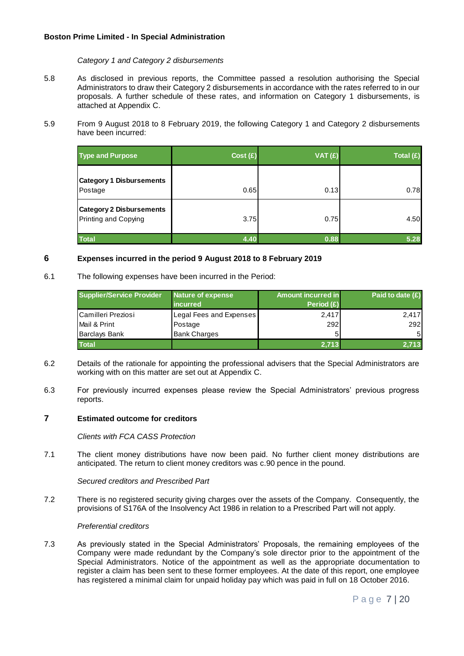*Category 1 and Category 2 disbursements*

- 5.8 As disclosed in previous reports, the Committee passed a resolution authorising the Special Administrators to draw their Category 2 disbursements in accordance with the rates referred to in our proposals. A further schedule of these rates, and information on Category 1 disbursements, is attached at Appendix C.
- 5.9 From 9 August 2018 to 8 February 2019, the following Category 1 and Category 2 disbursements have been incurred:

| <b>Type and Purpose</b>                                 | Cost(E) | VAT(E) | Total (£) |
|---------------------------------------------------------|---------|--------|-----------|
| <b>Category 1 Disbursements</b><br>Postage              | 0.65    | 0.13   | 0.78      |
| <b>Category 2 Disbursements</b><br>Printing and Copying | 3.75    | 0.75   | 4.50      |
| <b>Total</b>                                            | 4.40    | 0.88   | 5.28      |

#### **6 Expenses incurred in the period 9 August 2018 to 8 February 2019**

6.1 The following expenses have been incurred in the Period:

| <b>Supplier/Service Provider</b> | Nature of expense<br><i>incurred</i> | Amount incurred in<br>Period $(E)$ | Paid to date $(E)$ |
|----------------------------------|--------------------------------------|------------------------------------|--------------------|
| Camilleri Preziosi               | Legal Fees and Expenses              | 2,417                              | 2,417              |
| Mail & Print                     | Postage                              | 292                                | 292                |
| <b>Barclays Bank</b>             | <b>Bank Charges</b>                  |                                    | 5 <sub>l</sub>     |
| <b>Total</b>                     |                                      | 2.713                              | 2.713              |

- 6.2 Details of the rationale for appointing the professional advisers that the Special Administrators are working with on this matter are set out at Appendix C.
- 6.3 For previously incurred expenses please review the Special Administrators' previous progress reports.

#### **7 Estimated outcome for creditors**

*Clients with FCA CASS Protection*

7.1 The client money distributions have now been paid. No further client money distributions are anticipated. The return to client money creditors was c.90 pence in the pound.

*Secured creditors and Prescribed Part*

7.2 There is no registered security giving charges over the assets of the Company. Consequently, the provisions of S176A of the Insolvency Act 1986 in relation to a Prescribed Part will not apply.

#### *Preferential creditors*

7.3 As previously stated in the Special Administrators' Proposals, the remaining employees of the Company were made redundant by the Company's sole director prior to the appointment of the Special Administrators. Notice of the appointment as well as the appropriate documentation to register a claim has been sent to these former employees. At the date of this report, one employee has registered a minimal claim for unpaid holiday pay which was paid in full on 18 October 2016.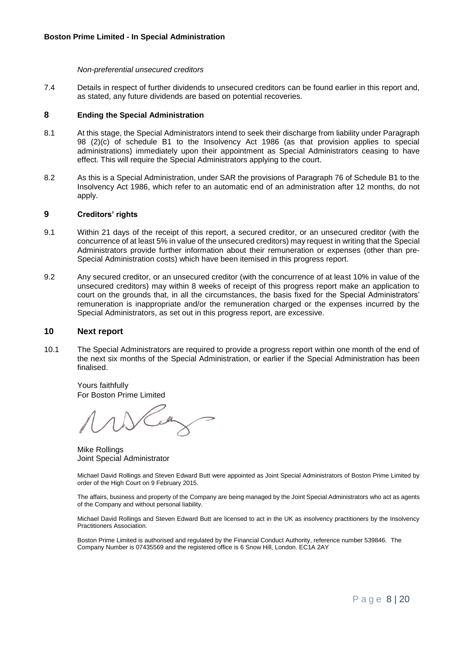#### *Non-preferential unsecured creditors*

7.4 Details in respect of further dividends to unsecured creditors can be found earlier in this report and, as stated, any future dividends are based on potential recoveries.

#### **8 Ending the Special Administration**

- 8.1 At this stage, the Special Administrators intend to seek their discharge from liability under Paragraph 98 (2)(c) of schedule B1 to the Insolvency Act 1986 (as that provision applies to special administrations) immediately upon their appointment as Special Administrators ceasing to have effect. This will require the Special Administrators applying to the court.
- 8.2 As this is a Special Administration, under SAR the provisions of Paragraph 76 of Schedule B1 to the Insolvency Act 1986, which refer to an automatic end of an administration after 12 months, do not apply.

#### **9 Creditors' rights**

- 9.1 Within 21 days of the receipt of this report, a secured creditor, or an unsecured creditor (with the concurrence of at least 5% in value of the unsecured creditors) may request in writing that the Special Administrators provide further information about their remuneration or expenses (other than pre-Special Administration costs) which have been itemised in this progress report.
- 9.2 Any secured creditor, or an unsecured creditor (with the concurrence of at least 10% in value of the unsecured creditors) may within 8 weeks of receipt of this progress report make an application to court on the grounds that, in all the circumstances, the basis fixed for the Special Administrators' remuneration is inappropriate and/or the remuneration charged or the expenses incurred by the Special Administrators, as set out in this progress report, are excessive.

#### **10 Next report**

10.1 The Special Administrators are required to provide a progress report within one month of the end of the next six months of the Special Administration, or earlier if the Special Administration has been finalised.

Yours faithfully For Boston Prime Limited

Mike Rollings Joint Special Administrator

Michael David Rollings and Steven Edward Butt were appointed as Joint Special Administrators of Boston Prime Limited by order of the High Court on 9 February 2015.

The affairs, business and property of the Company are being managed by the Joint Special Administrators who act as agents of the Company and without personal liability.

Michael David Rollings and Steven Edward Butt are licensed to act in the UK as insolvency practitioners by the Insolvency Practitioners Association.

Boston Prime Limited is authorised and regulated by the Financial Conduct Authority, reference number 539846. The Company Number is 07435569 and the registered office is 6 Snow Hill, London. EC1A 2AY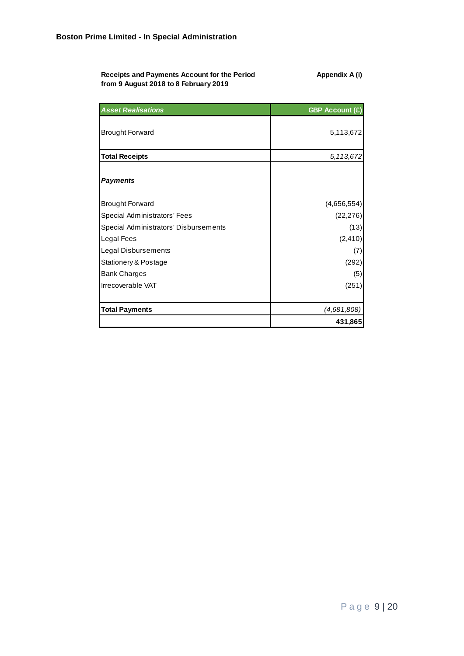| Receipts and Payments Account for the Period | Appendix A (i) |
|----------------------------------------------|----------------|
| from 9 August 2018 to 8 February 2019        |                |

| <b>Asset Realisations</b>             | <b>GBP Account (£)</b> |
|---------------------------------------|------------------------|
| <b>Brought Forward</b>                | 5,113,672              |
| <b>Total Receipts</b>                 | 5,113,672              |
| <b>Payments</b>                       |                        |
| <b>Brought Forward</b>                | (4,656,554)            |
| Special Administrators' Fees          | (22, 276)              |
| Special Administrators' Disbursements | (13)                   |
| Legal Fees                            | (2, 410)               |
| Legal Disbursements                   | (7)                    |
| Stationery & Postage                  | (292)                  |
| <b>Bank Charges</b>                   | (5)                    |
| Irrecoverable VAT                     | (251)                  |
| <b>Total Payments</b>                 | (4,681,808)            |
|                                       | 431,865                |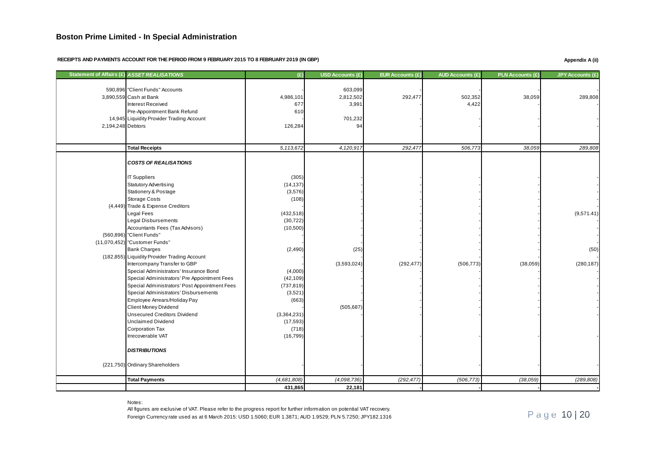RECEIPTS AND PAYMENTS ACCOUNT FOR THE PERIOD FROM 9 FEBRUARY 2015 TO 8 FEBRUARY 2019 (IN GBP) **Appendix A** (ii)

| Statement of Affairs (£) ASSET REALISATIONS   | (E)         | USD Accounts (£) | <b>EUR Accounts (£)</b> | <b>AUD Accounts (£)</b> | <b>PLN Accounts (£)</b> | JPY Accounts (£) |
|-----------------------------------------------|-------------|------------------|-------------------------|-------------------------|-------------------------|------------------|
|                                               |             |                  |                         |                         |                         |                  |
| 590,896 "Client Funds" Accounts               |             | 603,099          |                         |                         |                         |                  |
| 3,890,559 Cash at Bank                        | 4,986,101   | 2,812,502        | 292,477                 | 502,352                 | 38,059                  | 289,808          |
| Interest Received                             | 677         | 3,991            |                         | 4,422                   |                         |                  |
| Pre-Appointment Bank Refund                   | 610         |                  |                         |                         |                         |                  |
| 14,945 Liquidity Provider Trading Account     |             | 701,232          |                         |                         |                         |                  |
| 2,194,248 Debtors                             | 126,284     | 94               |                         |                         |                         |                  |
|                                               |             |                  |                         |                         |                         |                  |
| <b>Total Receipts</b>                         | 5,113,672   | 4,120,917        | 292,477                 | 506,773                 | 38,059                  | 289,808          |
|                                               |             |                  |                         |                         |                         |                  |
| <b>COSTS OF REALISATIONS</b>                  |             |                  |                         |                         |                         |                  |
|                                               |             |                  |                         |                         |                         |                  |
| <b>IT Suppliers</b>                           | (305)       |                  |                         |                         |                         |                  |
| <b>Statutory Advertising</b>                  | (14, 137)   |                  |                         |                         |                         |                  |
| <b>Stationery &amp; Postage</b>               | (3,576)     |                  |                         |                         |                         |                  |
| <b>Storage Costs</b>                          | (108)       |                  |                         |                         |                         |                  |
| (4,449) Trade & Expense Creditors             |             |                  |                         |                         |                         |                  |
| <b>Legal Fees</b>                             | (432, 518)  |                  |                         |                         |                         | (9,571.41)       |
| <b>Legal Disbursements</b>                    | (30, 722)   |                  |                         |                         |                         |                  |
| Accountants Fees (Tax Advisors)               | (10,500)    |                  |                         |                         |                         |                  |
| (560,896) "Client Funds"                      |             |                  |                         |                         |                         |                  |
| (11,070,452) "Customer Funds"                 |             |                  |                         |                         |                         |                  |
| <b>Bank Charges</b>                           | (2, 490)    | (25)             |                         |                         |                         | (50)             |
| (182,855) Liquidity Provider Trading Account  |             |                  |                         |                         |                         |                  |
| Intercompany Transfer to GBP                  |             | (3,593,024)      | (292, 477)              | (506, 773)              | (38,059)                | (280, 187)       |
| Special Administrators' Insurance Bond        | (4,000)     |                  |                         |                         |                         |                  |
| Special Administrators' Pre Appointment Fees  | (42, 109)   |                  |                         |                         |                         |                  |
| Special Administrators' Post Appointment Fees | (737, 819)  |                  |                         |                         |                         |                  |
| Special Administrators' Disbursements         | (3,521)     |                  |                         |                         |                         |                  |
| Employee Arrears/Holiday Pay                  | (663)       |                  |                         |                         |                         |                  |
| <b>Client Money Dividend</b>                  |             | (505, 687)       |                         |                         |                         |                  |
| <b>Unsecured Creditors Dividend</b>           | (3,364,231) |                  |                         |                         |                         |                  |
| <b>Unclaimed Dividend</b>                     | (17, 593)   |                  |                         |                         |                         |                  |
| <b>Corporation Tax</b>                        | (718)       |                  |                         |                         |                         |                  |
| Irrecoverable VAT                             | (16, 799)   |                  |                         |                         |                         |                  |
|                                               |             |                  |                         |                         |                         |                  |
| <b>DISTRIBUTIONS</b>                          |             |                  |                         |                         |                         |                  |
|                                               |             |                  |                         |                         |                         |                  |
| (221,750) Ordinary Shareholders               |             |                  |                         |                         |                         |                  |
| <b>Total Payments</b>                         | (4,681,808) | (4,098,736)      | (292, 477)              | (506, 773)              | (38, 059)               | (289, 808)       |
|                                               | 431,865     | 22,181           |                         |                         |                         |                  |

Notes:

Foreign Currency rate used as at 6 March 2015: USD 1.5060; EUR 1.3871; AUD 1.9529; PLN 5.7250; JPY182.1316 All figures are exclusive of VAT. Please refer to the progress report for further information on potential VAT recovery.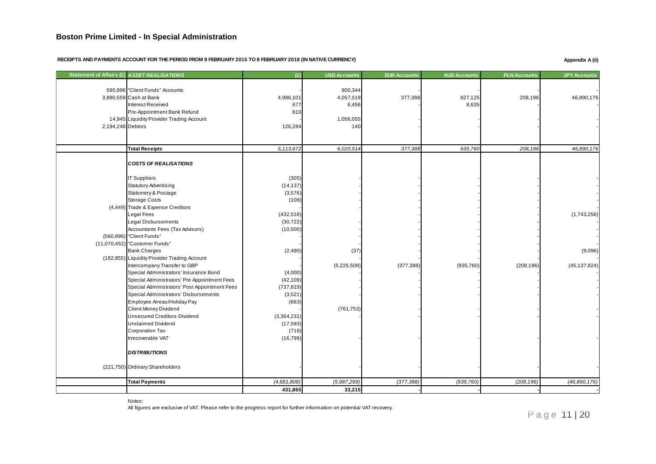#### RECEIPTS AND PAYMENTS ACCOUNT FOR THE PERIOD FROM 9 FEBRUARY 2015 TO 8 FEBRUARY 2018 (IN NATIVE CURRENCY) **Appendix A** (ii)

|                   | Statement of Affairs (£) ASSET REALISATIONS   | (E)         | <b>USD Accounts</b> | <b>EUR Accounts</b> | <b>AUD Accounts</b> | <b>PLN Accounts</b> | <b>JPY Accounts</b> |
|-------------------|-----------------------------------------------|-------------|---------------------|---------------------|---------------------|---------------------|---------------------|
|                   |                                               |             |                     |                     |                     |                     |                     |
|                   | 590,896 "Client Funds" Accounts               |             | 900,344             |                     |                     |                     |                     |
|                   | 3,890,559 Cash at Bank                        | 4,986,101   | 4,057,519           | 377,388             | 927,125             | 208,196             | 46,890,176          |
|                   | Interest Received                             | 677         | 6,456               |                     | 8,635               |                     |                     |
|                   | Pre-Appointment Bank Refund                   | 610         |                     |                     |                     |                     |                     |
|                   | 14,945 Liquidity Provider Trading Account     |             | 1,056,055           |                     |                     |                     |                     |
| 2,194,248 Debtors |                                               | 126,284     | 140                 |                     |                     |                     |                     |
|                   |                                               |             |                     |                     |                     |                     |                     |
|                   | <b>Total Receipts</b>                         | 5,113,672   | 6.020.514           | 377,388             | 935,760             | 208,196             | 46,890,176          |
|                   |                                               |             |                     |                     |                     |                     |                     |
|                   | <b>COSTS OF REALISATIONS</b>                  |             |                     |                     |                     |                     |                     |
|                   |                                               |             |                     |                     |                     |                     |                     |
|                   | <b>IT Suppliers</b>                           | (305)       |                     |                     |                     |                     |                     |
|                   | <b>Statutory Advertising</b>                  | (14, 137)   |                     |                     |                     |                     |                     |
|                   | Stationery & Postage                          | (3,576)     |                     |                     |                     |                     |                     |
|                   | <b>Storage Costs</b>                          | (108)       |                     |                     |                     |                     |                     |
|                   | (4,449) Trade & Expense Creditors             |             |                     |                     |                     |                     |                     |
|                   | Legal Fees                                    | (432, 518)  |                     |                     |                     |                     | (1,743,256)         |
|                   | <b>Legal Disbursements</b>                    | (30, 722)   |                     |                     |                     |                     |                     |
|                   | Accountants Fees (Tax Advisors)               | (10,500)    |                     |                     |                     |                     |                     |
|                   | (560,896) "Client Funds"                      |             |                     |                     |                     |                     |                     |
|                   | (11,070,452) "Customer Funds"                 |             |                     |                     |                     |                     |                     |
|                   | <b>Bank Charges</b>                           | (2, 490)    | (37)                |                     |                     |                     | (9,096)             |
|                   | (182,855) Liquidity Provider Trading Account  |             |                     |                     |                     |                     |                     |
|                   | Intercompany Transfer to GBP                  |             | (5,225,508)         | (377, 388)          | (935, 760)          | (208, 196)          | (45, 137, 824)      |
|                   | Special Administrators' Insurance Bond        | (4,000)     |                     |                     |                     |                     |                     |
|                   | Special Administrators' Pre Appointment Fees  | (42, 109)   |                     |                     |                     |                     |                     |
|                   | Special Administrators' Post Appointment Fees | (737, 819)  |                     |                     |                     |                     |                     |
|                   | Special Administrators' Disbursements         | (3,521)     |                     |                     |                     |                     |                     |
|                   | Employee Arreas/Holiday Pay                   | (663)       |                     |                     |                     |                     |                     |
|                   | Client Money Dividend                         |             | (761, 753)          |                     |                     |                     |                     |
|                   | <b>Unsecured Creditors Dividend</b>           | (3,364,231) |                     |                     |                     |                     |                     |
|                   | <b>Unclaimed Dividend</b>                     | (17, 593)   |                     |                     |                     |                     |                     |
|                   | <b>Corporation Tax</b>                        | (718)       |                     |                     |                     |                     |                     |
|                   | Irrecoverable VAT                             | (16, 799)   |                     |                     |                     |                     |                     |
|                   | <b>DISTRIBUTIONS</b>                          |             |                     |                     |                     |                     |                     |
|                   | (221,750) Ordinary Shareholders               |             |                     |                     |                     |                     |                     |
|                   |                                               |             |                     |                     |                     |                     |                     |
|                   | <b>Total Payments</b>                         | (4,681,808) | (5,987,299)         | (377, 388)          | (935, 760)          | (208, 196)          | (46,890,176)        |
|                   |                                               | 431,865     | 33,215              |                     |                     |                     |                     |

Notes:

All figures are exclusive of VAT. Please refer to the progress report for further information on potential VAT recovery.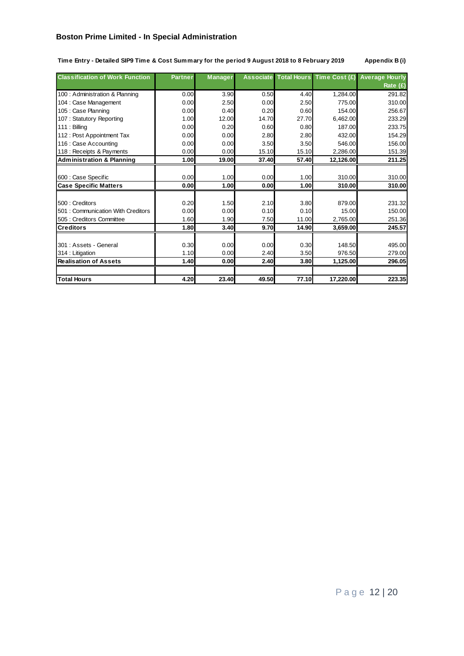| Time Entry - Detailed SIP9 Time & Cost Summary for the period 9 August 2018 to 8 February 2019 |  |  |  |
|------------------------------------------------------------------------------------------------|--|--|--|
|                                                                                                |  |  |  |

 $\Delta$ ppendix B (i)

| <b>Classification of Work Function</b> | <b>Partner</b> | <b>Manager</b> |       |       |           | Associate Total Hours Time Cost (£) Average Hourly |
|----------------------------------------|----------------|----------------|-------|-------|-----------|----------------------------------------------------|
|                                        |                |                |       |       |           | Rate (£)                                           |
| 100 : Administration & Planning        | 0.00           | 3.90           | 0.50  | 4.40  | 1,284.00  | 291.82                                             |
| 104 : Case Management                  | 0.00           | 2.50           | 0.00  | 2.50  | 775.00    | 310.00                                             |
| 105 : Case Planning                    | 0.00           | 0.40           | 0.20  | 0.60  | 154.00    | 256.67                                             |
| 107: Statutory Reporting               | 1.00           | 12.00          | 14.70 | 27.70 | 6,462.00  | 233.29                                             |
| $111:$ Billing                         | 0.00           | 0.20           | 0.60  | 0.80  | 187.00    | 233.75                                             |
| 112 : Post Appointment Tax             | 0.00           | 0.00           | 2.80  | 2.80  | 432.00    | 154.29                                             |
| 116 : Case Accounting                  | 0.00           | 0.00           | 3.50  | 3.50  | 546.00    | 156.00                                             |
| 118 : Receipts & Payments              | 0.00           | 0.00           | 15.10 | 15.10 | 2,286.00  | 151.39                                             |
| <b>Administration &amp; Planning</b>   | 1.00           | 19.00          | 37.40 | 57.40 | 12,126.00 | 211.25                                             |
|                                        |                |                |       |       |           |                                                    |
| 600 : Case Specific                    | 0.00           | 1.00           | 0.00  | 1.00  | 310.00    | 310.00                                             |
| <b>Case Specific Matters</b>           | 0.00           | 1.00           | 0.00  | 1.00  | 310.00    | 310.00                                             |
|                                        |                |                |       |       |           |                                                    |
| 500 : Creditors                        | 0.20           | 1.50           | 2.10  | 3.80  | 879.00    | 231.32                                             |
| 501 : Communication With Creditors     | 0.00           | 0.00           | 0.10  | 0.10  | 15.00     | 150.00                                             |
| 505 : Creditors Committee              | 1.60           | 1.90           | 7.50  | 11.00 | 2,765.00  | 251.36                                             |
| <b>Creditors</b>                       | 1.80           | 3.40           | 9.70  | 14.90 | 3,659.00  | 245.57                                             |
|                                        |                |                |       |       |           |                                                    |
| 301 : Assets - General                 | 0.30           | 0.00           | 0.00  | 0.30  | 148.50    | 495.00                                             |
| 314 : Litigation                       | 1.10           | 0.00           | 2.40  | 3.50  | 976.50    | 279.00                                             |
| <b>Realisation of Assets</b>           | 1.40           | 0.00           | 2.40  | 3.80  | 1,125.00  | 296.05                                             |
|                                        |                |                |       |       |           |                                                    |
| <b>Total Hours</b>                     | 4.20           | 23.40          | 49.50 | 77.10 | 17,220.00 | 223.35                                             |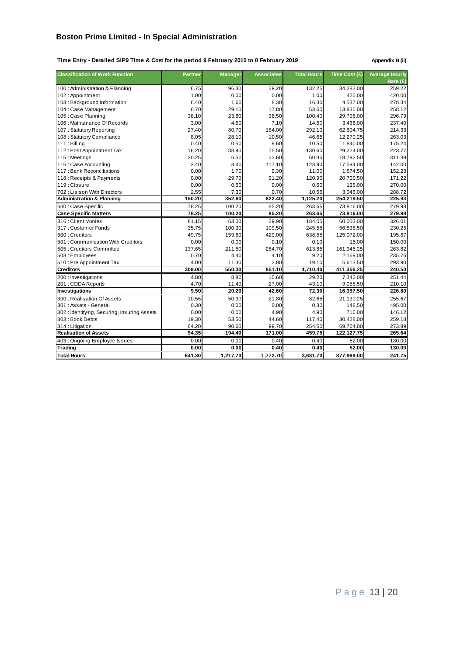**Time Entry - Detailed SIP9 Time & Cost for the period 9 February 2015 to 8 February 2019 Appendix B (ii)**

| <b>Classification of Work Function</b>      | <b>Partner</b> | <b>Manager</b> | <b>Associates</b> | <b>Total Hours</b> | Time Cost (£) | <b>Average Hourly</b> |
|---------------------------------------------|----------------|----------------|-------------------|--------------------|---------------|-----------------------|
|                                             |                |                |                   |                    |               | Rate (£)              |
| 100 : Administration & Planning             | 6.75           | 96.30          | 29.20             | 132.25             | 34,282.00     | 259.22                |
| 102: Appointment                            | 1.00           | 0.00           | 0.00              | 1.00               | 420.00        | 420.00                |
| 103 : Background Information                | 6.40           | 1.60           | 8.30              | 16.30              | 4,537.00      | 278.34                |
| 104 : Case Management                       | 6.70           | 29.10          | 17.80             | 53.60              | 13,835.00     | 258.12                |
| 105 : Case Planning                         | 38.10          | 23.80          | 38.50             | 100.40             | 29,798.00     | 296.79                |
| 106 : Maintanance Of Records                | 3.00           | 4.50           | 7.10              | 14.60              | 3.466.00      | 237.40                |
| 107: Statutory Reporting                    | 27.40          | 80.70          | 184.00            | 292.10             | 62,604.75     | 214.33                |
| 108: Statutory Compliance                   | 8.05           | 28.10          | 10.50             | 46.65              | 12,270.25     | 263.03                |
| 111: Billing                                | 0.40           | 0.50           | 9.60              | 10.50              | 1,840.00      | 175.24                |
| 112: Post Appointment Tax                   | 16.20          | 38.90          | 75.50             | 130.60             | 29,224.00     | 223.77                |
| 115: Meetings                               | 30.25          | 6.50           | 23.60             | 60.35              | 18,792.50     | 311.39                |
| 116 : Case Accounting                       | 3.40           | 3.40           | 117.10            | 123.90             | 17,594.00     | 142.00                |
| 117 : Bank Reconciliations                  | 0.00           | 1.70           | 9.30              | 11.00              | 1,674.50      | 152.23                |
| 118 : Receipts & Payments                   | 0.00           | 29.70          | 91.20             | 120.90             | 20,700.50     | 171.22                |
| 119 : Closure                               | 0.00           | 0.50           | 0.00              | 0.50               | 135.00        | 270.00                |
| 702: Liaison With Directors                 | 2.55           | 7.30           | 0.70              | 10.55              | 3,046.00      | 288.72                |
| <b>Administration &amp; Planning</b>        | 150.20         | 352.60         | 622.40            | 1,125.20           | 254,219.50    | 225.93                |
| 600 : Case Specific                         | 78.25          | 100.20         | 85.20             | 263.65             | 73,816.00     | 279.98                |
| <b>Case Specific Matters</b>                | 78.25          | 100.20         | 85.20             | 263.65             | 73,816.00     | 279.98                |
| 316 : Client Monies                         | 81.15          | 63.00          | 39.90             | 184.05             | 60,003.00     | 326.01                |
| 317: Customer Funds                         | 35.75          | 100.30         | 109.50            | 245.55             | 56,538.50     | 230.25                |
| 500 : Creditors                             | 49.75          | 159.80         | 429.00            | 638.55             | 125,072.00    | 195.87                |
| 501: Communication With Creditors           | 0.00           | 0.00           | 0.10              | 0.10               | 15.00         | 150.00                |
| 505 : Creditors Committee                   | 137.65         | 211.50         | 264.70            | 613.85             | 161,945.25    | 263.82                |
| 508: Employees                              | 0.70           | 4.40           | 4.10              | 9.20               | 2,169.00      | 235.76                |
| 510 : Pre Appointment Tax                   | 4.00           | 11.30          | 3.80              | 19.10              | 5,613.50      | 293.90                |
| <b>Creditors</b>                            | 309.00         | 550.30         | 851.10            | 1,710.40           | 411,356.25    | 240.50                |
| 200 : Investigations                        | 4.80           | 8.80           | 15.60             | 29.20              | 7,342.00      | 251.44                |
| 201: CDDA Reports                           | 4.70           | 11.40          | 27.00             | 43.10              | 9,055.50      | 210.10                |
| Investigations                              | 9.50           | 20.20          | 42.60             | 72.30              | 16,397.50     | 226.80                |
| 300 : Realisation Of Assets                 | 10.55          | 50.30          | 21.80             | 82.65              | 21,131.25     | 255.67                |
| 301 : Assets - General                      | 0.30           | 0.00           | 0.00              | 0.30               | 148.50        | 495.00                |
| 302: Identifying, Securing, Insuring Assets | 0.00           | 0.00           | 4.90              | 4.90               | 716.00        | 146.12                |
| 303 : Book Debts                            | 19.30          | 53.50          | 44.60             | 117.40             | 30,428.00     | 259.18                |
| 314 : Litigation                            | 64.20          | 90.60          | 99.70             | 254.50             | 69,704.00     | 273.89                |
| <b>Realisation of Assets</b>                | 94.35          | 194.40         | 171.00            | 459.75             | 122,127.75    | 265.64                |
| 403: Ongoing Employee Issues                | 0.00           | 0.00           | 0.40              | 0.40               | 52.00         | 130.00                |
| <b>Trading</b>                              | 0.00           | 0.00           | 0.40              | 0.40               | 52.00         | 130.00                |
| <b>Total Hours</b>                          | 641.30         | 1,217.70       | 1,772.70          | 3.631.70           | 877,969.00    | 241.75                |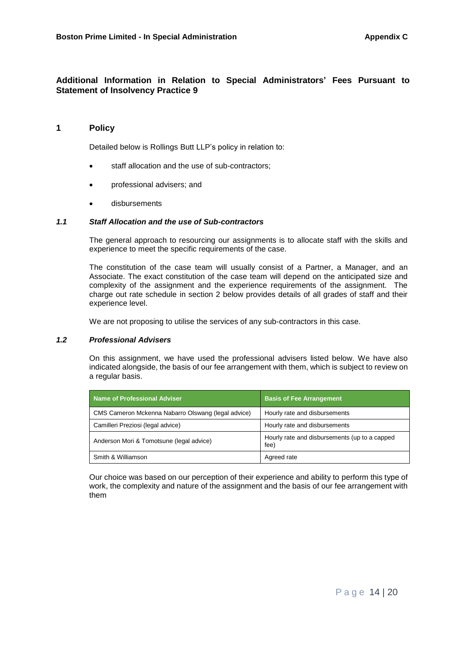# **Additional Information in Relation to Special Administrators' Fees Pursuant to Statement of Insolvency Practice 9**

## **1 Policy**

Detailed below is Rollings Butt LLP's policy in relation to:

- staff allocation and the use of sub-contractors;
- professional advisers; and
- disbursements

#### *1.1 Staff Allocation and the use of Sub-contractors*

The general approach to resourcing our assignments is to allocate staff with the skills and experience to meet the specific requirements of the case.

The constitution of the case team will usually consist of a Partner, a Manager, and an Associate. The exact constitution of the case team will depend on the anticipated size and complexity of the assignment and the experience requirements of the assignment. The charge out rate schedule in section 2 below provides details of all grades of staff and their experience level.

We are not proposing to utilise the services of any sub-contractors in this case.

#### *1.2 Professional Advisers*

On this assignment, we have used the professional advisers listed below. We have also indicated alongside, the basis of our fee arrangement with them, which is subject to review on a regular basis.

| Name of Professional Adviser                       | <b>Basis of Fee Arrangement</b>                       |
|----------------------------------------------------|-------------------------------------------------------|
| CMS Cameron Mckenna Nabarro Olswang (legal advice) | Hourly rate and disbursements                         |
| Camilleri Preziosi (legal advice)                  | Hourly rate and disbursements                         |
| Anderson Mori & Tomotsune (legal advice)           | Hourly rate and disbursements (up to a capped<br>fee) |
| Smith & Williamson                                 | Agreed rate                                           |

Our choice was based on our perception of their experience and ability to perform this type of work, the complexity and nature of the assignment and the basis of our fee arrangement with them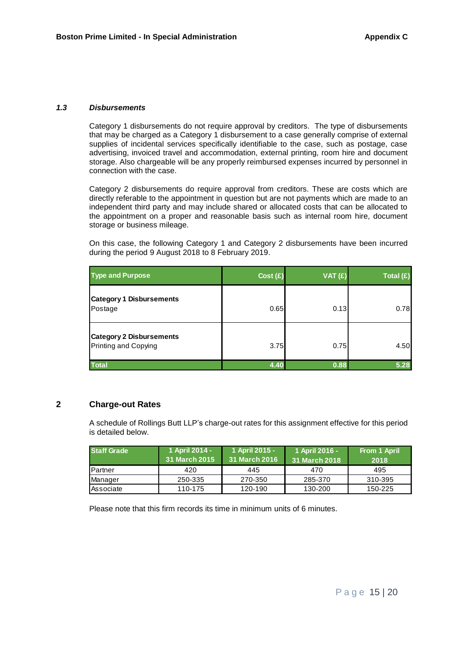#### *1.3 Disbursements*

Category 1 disbursements do not require approval by creditors. The type of disbursements that may be charged as a Category 1 disbursement to a case generally comprise of external supplies of incidental services specifically identifiable to the case, such as postage, case advertising, invoiced travel and accommodation, external printing, room hire and document storage. Also chargeable will be any properly reimbursed expenses incurred by personnel in connection with the case.

Category 2 disbursements do require approval from creditors. These are costs which are directly referable to the appointment in question but are not payments which are made to an independent third party and may include shared or allocated costs that can be allocated to the appointment on a proper and reasonable basis such as internal room hire, document storage or business mileage.

On this case, the following Category 1 and Category 2 disbursements have been incurred during the period 9 August 2018 to 8 February 2019.

| <b>Type and Purpose</b>                                 | Cost(E) | VAT(E) | Total $(E)$ |
|---------------------------------------------------------|---------|--------|-------------|
| <b>Category 1 Disbursements</b><br>Postage              | 0.65    | 0.13   | 0.78        |
| <b>Category 2 Disbursements</b><br>Printing and Copying | 3.75    | 0.75   | 4.50        |
| <b>Total</b>                                            | 4.40    | 0.88   | 5.28        |

### **2 Charge-out Rates**

A schedule of Rollings Butt LLP's charge-out rates for this assignment effective for this period is detailed below.

| <b>Staff Grade</b> | 1 April 2014 -<br>31 March 2015 | 1 April 2015 -<br>31 March 2016 | 1 April 2016 -<br>31 March 2018 | From 1 April<br>2018 |
|--------------------|---------------------------------|---------------------------------|---------------------------------|----------------------|
| <b>Partner</b>     | 420                             | 445                             | 470                             | 495                  |
| Manager            | 250-335                         | 270-350                         | 285-370                         | 310-395              |
| Associate          | 110-175                         | 120-190                         | 130-200                         | 150-225              |

Please note that this firm records its time in minimum units of 6 minutes.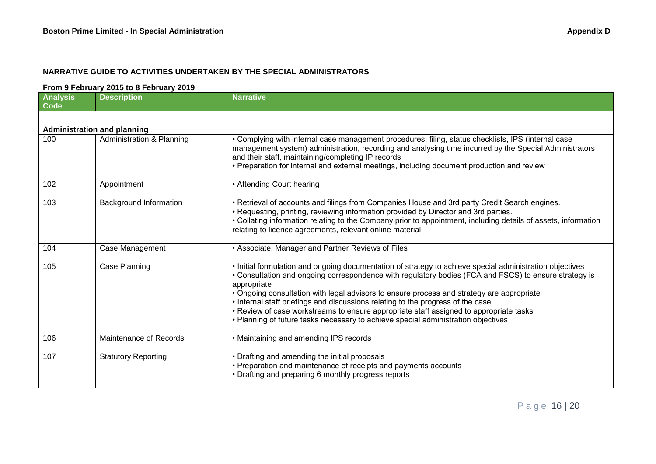# **NARRATIVE GUIDE TO ACTIVITIES UNDERTAKEN BY THE SPECIAL ADMINISTRATORS**

#### **From 9 February 2015 to 8 February 2019**

| <b>Analysis</b><br><b>Code</b> | <b>Description</b>                   | <b>Narrative</b>                                                                                                                                                                                                                                                                                                                                                                                                                                                                                                                                                                                |
|--------------------------------|--------------------------------------|-------------------------------------------------------------------------------------------------------------------------------------------------------------------------------------------------------------------------------------------------------------------------------------------------------------------------------------------------------------------------------------------------------------------------------------------------------------------------------------------------------------------------------------------------------------------------------------------------|
|                                |                                      |                                                                                                                                                                                                                                                                                                                                                                                                                                                                                                                                                                                                 |
|                                | <b>Administration and planning</b>   |                                                                                                                                                                                                                                                                                                                                                                                                                                                                                                                                                                                                 |
| 100                            | <b>Administration &amp; Planning</b> | • Complying with internal case management procedures; filing, status checklists, IPS (internal case<br>management system) administration, recording and analysing time incurred by the Special Administrators<br>and their staff, maintaining/completing IP records<br>• Preparation for internal and external meetings, including document production and review                                                                                                                                                                                                                               |
| 102                            | Appointment                          | • Attending Court hearing                                                                                                                                                                                                                                                                                                                                                                                                                                                                                                                                                                       |
| 103                            | <b>Background Information</b>        | • Retrieval of accounts and filings from Companies House and 3rd party Credit Search engines.<br>• Requesting, printing, reviewing information provided by Director and 3rd parties.<br>• Collating information relating to the Company prior to appointment, including details of assets, information<br>relating to licence agreements, relevant online material.                                                                                                                                                                                                                             |
| 104                            | Case Management                      | • Associate, Manager and Partner Reviews of Files                                                                                                                                                                                                                                                                                                                                                                                                                                                                                                                                               |
| 105                            | Case Planning                        | . Initial formulation and ongoing documentation of strategy to achieve special administration objectives<br>• Consultation and ongoing correspondence with regulatory bodies (FCA and FSCS) to ensure strategy is<br>appropriate<br>• Ongoing consultation with legal advisors to ensure process and strategy are appropriate<br>. Internal staff briefings and discussions relating to the progress of the case<br>• Review of case workstreams to ensure appropriate staff assigned to appropriate tasks<br>• Planning of future tasks necessary to achieve special administration objectives |
| 106                            | Maintenance of Records               | • Maintaining and amending IPS records                                                                                                                                                                                                                                                                                                                                                                                                                                                                                                                                                          |
| 107                            | <b>Statutory Reporting</b>           | • Drafting and amending the initial proposals<br>• Preparation and maintenance of receipts and payments accounts<br>• Drafting and preparing 6 monthly progress reports                                                                                                                                                                                                                                                                                                                                                                                                                         |

P a g e 16 | 20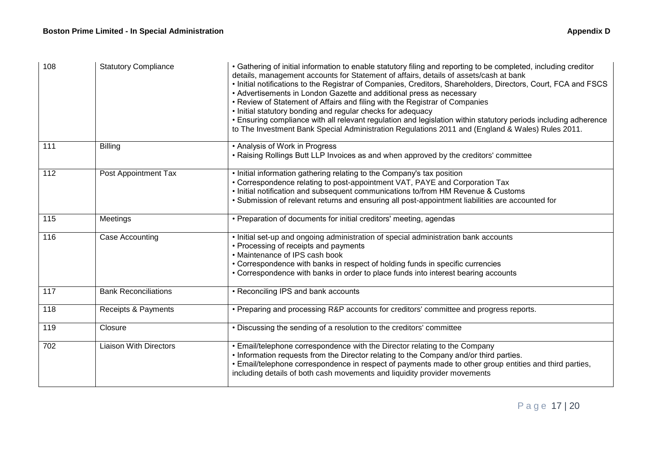| 108              | <b>Statutory Compliance</b>   | • Gathering of initial information to enable statutory filing and reporting to be completed, including creditor<br>details, management accounts for Statement of affairs, details of assets/cash at bank<br>. Initial notifications to the Registrar of Companies, Creditors, Shareholders, Directors, Court, FCA and FSCS<br>• Advertisements in London Gazette and additional press as necessary<br>• Review of Statement of Affairs and filing with the Registrar of Companies<br>. Initial statutory bonding and regular checks for adequacy<br>. Ensuring compliance with all relevant regulation and legislation within statutory periods including adherence<br>to The Investment Bank Special Administration Regulations 2011 and (England & Wales) Rules 2011. |
|------------------|-------------------------------|-------------------------------------------------------------------------------------------------------------------------------------------------------------------------------------------------------------------------------------------------------------------------------------------------------------------------------------------------------------------------------------------------------------------------------------------------------------------------------------------------------------------------------------------------------------------------------------------------------------------------------------------------------------------------------------------------------------------------------------------------------------------------|
| 111              | <b>Billing</b>                | • Analysis of Work in Progress<br>• Raising Rollings Butt LLP Invoices as and when approved by the creditors' committee                                                                                                                                                                                                                                                                                                                                                                                                                                                                                                                                                                                                                                                 |
| 112              | Post Appointment Tax          | • Initial information gathering relating to the Company's tax position<br>• Correspondence relating to post-appointment VAT, PAYE and Corporation Tax<br>. Initial notification and subsequent communications to/from HM Revenue & Customs<br>• Submission of relevant returns and ensuring all post-appointment liabilities are accounted for                                                                                                                                                                                                                                                                                                                                                                                                                          |
| $\overline{115}$ | Meetings                      | • Preparation of documents for initial creditors' meeting, agendas                                                                                                                                                                                                                                                                                                                                                                                                                                                                                                                                                                                                                                                                                                      |
| 116              | Case Accounting               | . Initial set-up and ongoing administration of special administration bank accounts<br>• Processing of receipts and payments<br>• Maintenance of IPS cash book<br>• Correspondence with banks in respect of holding funds in specific currencies<br>• Correspondence with banks in order to place funds into interest bearing accounts                                                                                                                                                                                                                                                                                                                                                                                                                                  |
| 117              | <b>Bank Reconciliations</b>   | • Reconciling IPS and bank accounts                                                                                                                                                                                                                                                                                                                                                                                                                                                                                                                                                                                                                                                                                                                                     |
| 118              | Receipts & Payments           | • Preparing and processing R&P accounts for creditors' committee and progress reports.                                                                                                                                                                                                                                                                                                                                                                                                                                                                                                                                                                                                                                                                                  |
| 119              | Closure                       | • Discussing the sending of a resolution to the creditors' committee                                                                                                                                                                                                                                                                                                                                                                                                                                                                                                                                                                                                                                                                                                    |
| $\overline{702}$ | <b>Liaison With Directors</b> | • Email/telephone correspondence with the Director relating to the Company<br>• Information requests from the Director relating to the Company and/or third parties.<br>. Email/telephone correspondence in respect of payments made to other group entities and third parties,<br>including details of both cash movements and liquidity provider movements                                                                                                                                                                                                                                                                                                                                                                                                            |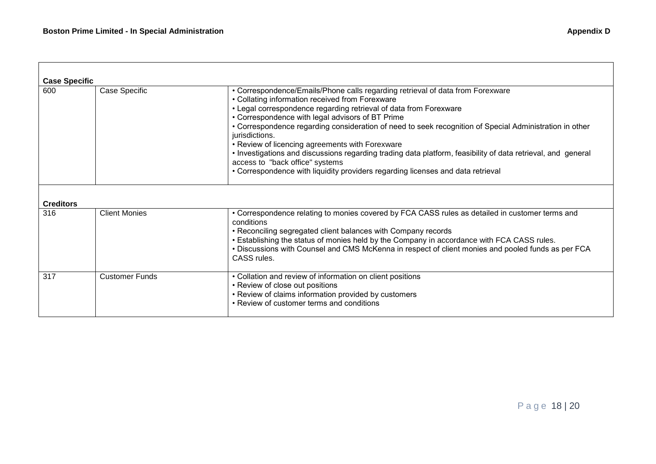| <b>Case Specific</b><br>600 | Case Specific         | • Correspondence/Emails/Phone calls regarding retrieval of data from Forexware<br>• Collating information received from Forexware<br>• Legal correspondence regarding retrieval of data from Forexware<br>• Correspondence with legal advisors of BT Prime<br>• Correspondence regarding consideration of need to seek recognition of Special Administration in other<br>jurisdictions.<br>• Review of licencing agreements with Forexware<br>• Investigations and discussions regarding trading data platform, feasibility of data retrieval, and general<br>access to "back office" systems<br>• Correspondence with liquidity providers regarding licenses and data retrieval |
|-----------------------------|-----------------------|----------------------------------------------------------------------------------------------------------------------------------------------------------------------------------------------------------------------------------------------------------------------------------------------------------------------------------------------------------------------------------------------------------------------------------------------------------------------------------------------------------------------------------------------------------------------------------------------------------------------------------------------------------------------------------|
| <b>Creditors</b>            |                       |                                                                                                                                                                                                                                                                                                                                                                                                                                                                                                                                                                                                                                                                                  |
| 316                         | <b>Client Monies</b>  | • Correspondence relating to monies covered by FCA CASS rules as detailed in customer terms and<br>conditions<br>• Reconciling segregated client balances with Company records<br>. Establishing the status of monies held by the Company in accordance with FCA CASS rules.<br>. Discussions with Counsel and CMS McKenna in respect of client monies and pooled funds as per FCA<br>CASS rules.                                                                                                                                                                                                                                                                                |
| 317                         | <b>Customer Funds</b> | • Collation and review of information on client positions<br>• Review of close out positions<br>• Review of claims information provided by customers<br>• Review of customer terms and conditions                                                                                                                                                                                                                                                                                                                                                                                                                                                                                |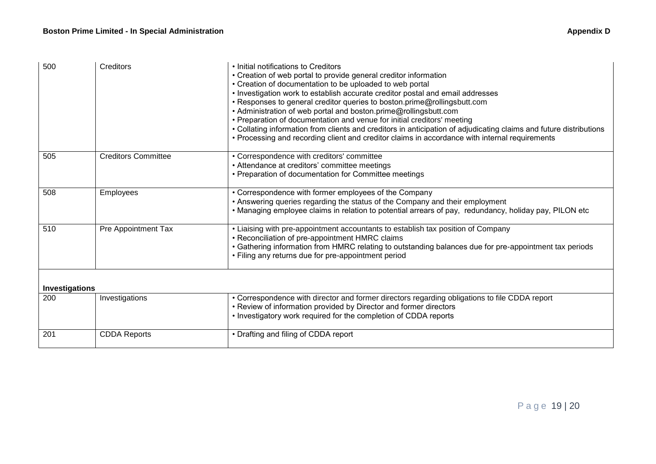| 500            | Creditors                  | • Initial notifications to Creditors<br>• Creation of web portal to provide general creditor information<br>• Creation of documentation to be uploaded to web portal<br>• Investigation work to establish accurate creditor postal and email addresses<br>• Responses to general creditor queries to boston.prime@rollingsbutt.com<br>• Administration of web portal and boston.prime@rollingsbutt.com<br>• Preparation of documentation and venue for initial creditors' meeting<br>• Collating information from clients and creditors in anticipation of adjudicating claims and future distributions<br>• Processing and recording client and creditor claims in accordance with internal requirements |
|----------------|----------------------------|-----------------------------------------------------------------------------------------------------------------------------------------------------------------------------------------------------------------------------------------------------------------------------------------------------------------------------------------------------------------------------------------------------------------------------------------------------------------------------------------------------------------------------------------------------------------------------------------------------------------------------------------------------------------------------------------------------------|
| 505            | <b>Creditors Committee</b> | • Correspondence with creditors' committee<br>• Attendance at creditors' committee meetings<br>• Preparation of documentation for Committee meetings                                                                                                                                                                                                                                                                                                                                                                                                                                                                                                                                                      |
| 508            | Employees                  | • Correspondence with former employees of the Company<br>• Answering queries regarding the status of the Company and their employment<br>. Managing employee claims in relation to potential arrears of pay, redundancy, holiday pay, PILON etc                                                                                                                                                                                                                                                                                                                                                                                                                                                           |
| 510            | Pre Appointment Tax        | • Liaising with pre-appointment accountants to establish tax position of Company<br>• Reconciliation of pre-appointment HMRC claims<br>• Gathering information from HMRC relating to outstanding balances due for pre-appointment tax periods<br>• Filing any returns due for pre-appointment period                                                                                                                                                                                                                                                                                                                                                                                                      |
| Investigations |                            |                                                                                                                                                                                                                                                                                                                                                                                                                                                                                                                                                                                                                                                                                                           |
| 200            | Investigations             | • Correspondence with director and former directors regarding obligations to file CDDA report<br>• Review of information provided by Director and former directors<br>• Investigatory work required for the completion of CDDA reports                                                                                                                                                                                                                                                                                                                                                                                                                                                                    |
| 201            | <b>CDDA Reports</b>        | • Drafting and filing of CDDA report                                                                                                                                                                                                                                                                                                                                                                                                                                                                                                                                                                                                                                                                      |